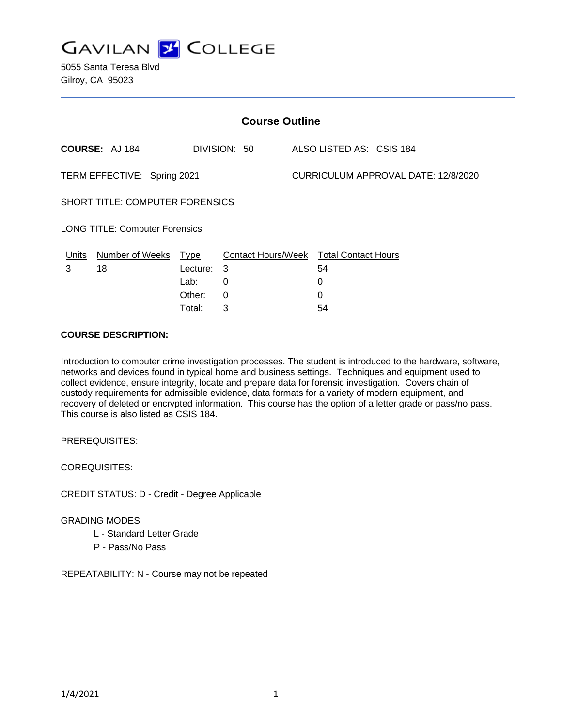

| <b>Course Outline</b>                 |                                 |             |                                               |  |                                     |  |  |  |
|---------------------------------------|---------------------------------|-------------|-----------------------------------------------|--|-------------------------------------|--|--|--|
|                                       | <b>COURSE: AJ 184</b>           |             | DIVISION: 50                                  |  | ALSO LISTED AS: CSIS 184            |  |  |  |
| TERM EFFECTIVE: Spring 2021           |                                 |             |                                               |  | CURRICULUM APPROVAL DATE: 12/8/2020 |  |  |  |
|                                       | SHORT TITLE: COMPUTER FORENSICS |             |                                               |  |                                     |  |  |  |
| <b>LONG TITLE: Computer Forensics</b> |                                 |             |                                               |  |                                     |  |  |  |
| <u>Units</u>                          | <b>Number of Weeks</b>          | <u>Type</u> | <b>Contact Hours/Week Total Contact Hours</b> |  |                                     |  |  |  |
| 3                                     | 18                              | Lecture:    | 3                                             |  | 54                                  |  |  |  |
|                                       |                                 | Lab:        | 0                                             |  | 0                                   |  |  |  |
|                                       |                                 | Other:      | $\Omega$                                      |  | 0                                   |  |  |  |
|                                       |                                 | Total:      | 3                                             |  | 54                                  |  |  |  |

### **COURSE DESCRIPTION:**

Introduction to computer crime investigation processes. The student is introduced to the hardware, software, networks and devices found in typical home and business settings. Techniques and equipment used to collect evidence, ensure integrity, locate and prepare data for forensic investigation. Covers chain of custody requirements for admissible evidence, data formats for a variety of modern equipment, and recovery of deleted or encrypted information. This course has the option of a letter grade or pass/no pass. This course is also listed as CSIS 184.

PREREQUISITES:

COREQUISITES:

CREDIT STATUS: D - Credit - Degree Applicable

#### GRADING MODES

- L Standard Letter Grade
- P Pass/No Pass

REPEATABILITY: N - Course may not be repeated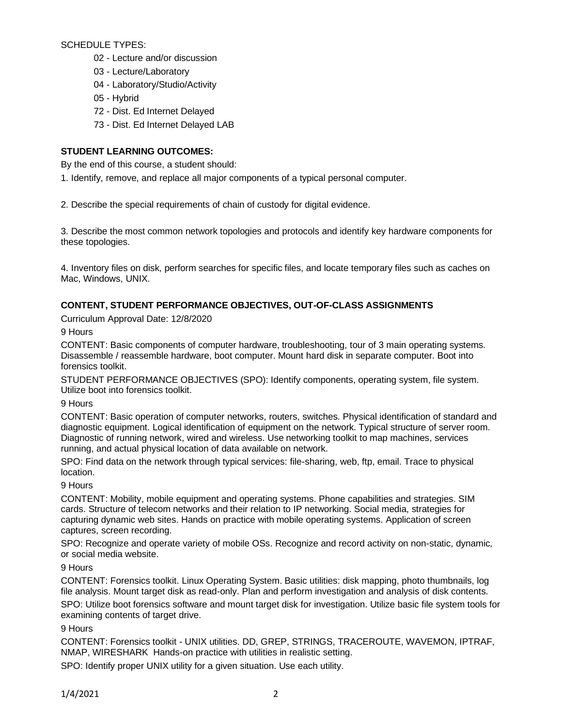SCHEDULE TYPES:

- 02 Lecture and/or discussion
- 03 Lecture/Laboratory
- 04 Laboratory/Studio/Activity
- 05 Hybrid
- 72 Dist. Ed Internet Delayed
- 73 Dist. Ed Internet Delayed LAB

# **STUDENT LEARNING OUTCOMES:**

By the end of this course, a student should:

1. Identify, remove, and replace all major components of a typical personal computer.

2. Describe the special requirements of chain of custody for digital evidence.

3. Describe the most common network topologies and protocols and identify key hardware components for these topologies.

4. Inventory files on disk, perform searches for specific files, and locate temporary files such as caches on Mac, Windows, UNIX.

# **CONTENT, STUDENT PERFORMANCE OBJECTIVES, OUT-OF-CLASS ASSIGNMENTS**

Curriculum Approval Date: 12/8/2020

9 Hours

CONTENT: Basic components of computer hardware, troubleshooting, tour of 3 main operating systems. Disassemble / reassemble hardware, boot computer. Mount hard disk in separate computer. Boot into forensics toolkit.

STUDENT PERFORMANCE OBJECTIVES (SPO): Identify components, operating system, file system. Utilize boot into forensics toolkit.

9 Hours

CONTENT: Basic operation of computer networks, routers, switches. Physical identification of standard and diagnostic equipment. Logical identification of equipment on the network. Typical structure of server room. Diagnostic of running network, wired and wireless. Use networking toolkit to map machines, services running, and actual physical location of data available on network.

SPO: Find data on the network through typical services: file-sharing, web, ftp, email. Trace to physical location.

9 Hours

CONTENT: Mobility, mobile equipment and operating systems. Phone capabilities and strategies. SIM cards. Structure of telecom networks and their relation to IP networking. Social media, strategies for capturing dynamic web sites. Hands on practice with mobile operating systems. Application of screen captures, screen recording.

SPO: Recognize and operate variety of mobile OSs. Recognize and record activity on non-static, dynamic, or social media website.

9 Hours

CONTENT: Forensics toolkit. Linux Operating System. Basic utilities: disk mapping, photo thumbnails, log file analysis. Mount target disk as read-only. Plan and perform investigation and analysis of disk contents.

SPO: Utilize boot forensics software and mount target disk for investigation. Utilize basic file system tools for examining contents of target drive.

9 Hours

CONTENT: Forensics toolkit - UNIX utilities. DD, GREP, STRINGS, TRACEROUTE, WAVEMON, IPTRAF, NMAP, WIRESHARK Hands-on practice with utilities in realistic setting.

SPO: Identify proper UNIX utility for a given situation. Use each utility.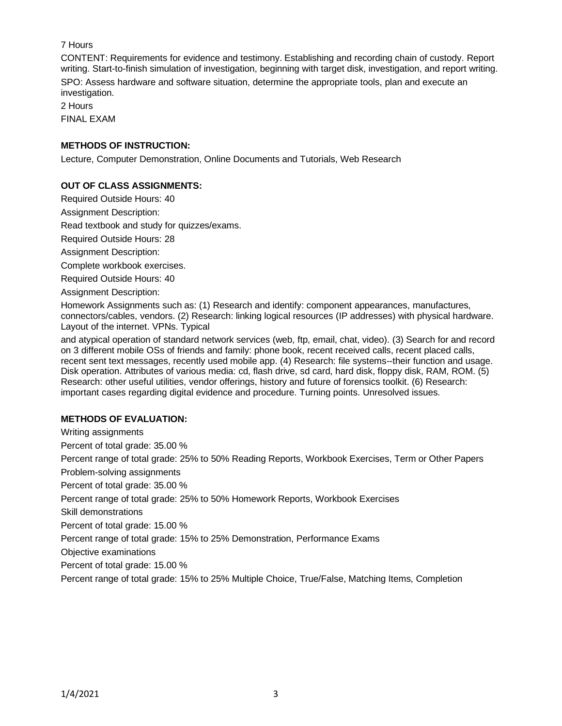# 7 Hours

CONTENT: Requirements for evidence and testimony. Establishing and recording chain of custody. Report writing. Start-to-finish simulation of investigation, beginning with target disk, investigation, and report writing. SPO: Assess hardware and software situation, determine the appropriate tools, plan and execute an investigation.

2 Hours FINAL EXAM

# **METHODS OF INSTRUCTION:**

Lecture, Computer Demonstration, Online Documents and Tutorials, Web Research

## **OUT OF CLASS ASSIGNMENTS:**

Required Outside Hours: 40

Assignment Description:

Read textbook and study for quizzes/exams.

Required Outside Hours: 28

Assignment Description:

Complete workbook exercises.

Required Outside Hours: 40

Assignment Description:

Homework Assignments such as: (1) Research and identify: component appearances, manufactures, connectors/cables, vendors. (2) Research: linking logical resources (IP addresses) with physical hardware. Layout of the internet. VPNs. Typical

and atypical operation of standard network services (web, ftp, email, chat, video). (3) Search for and record on 3 different mobile OSs of friends and family: phone book, recent received calls, recent placed calls, recent sent text messages, recently used mobile app. (4) Research: file systems--their function and usage. Disk operation. Attributes of various media: cd, flash drive, sd card, hard disk, floppy disk, RAM, ROM. (5) Research: other useful utilities, vendor offerings, history and future of forensics toolkit. (6) Research: important cases regarding digital evidence and procedure. Turning points. Unresolved issues.

# **METHODS OF EVALUATION:**

Writing assignments Percent of total grade: 35.00 % Percent range of total grade: 25% to 50% Reading Reports, Workbook Exercises, Term or Other Papers Problem-solving assignments Percent of total grade: 35.00 % Percent range of total grade: 25% to 50% Homework Reports, Workbook Exercises Skill demonstrations Percent of total grade: 15.00 % Percent range of total grade: 15% to 25% Demonstration, Performance Exams Objective examinations Percent of total grade: 15.00 %

Percent range of total grade: 15% to 25% Multiple Choice, True/False, Matching Items, Completion